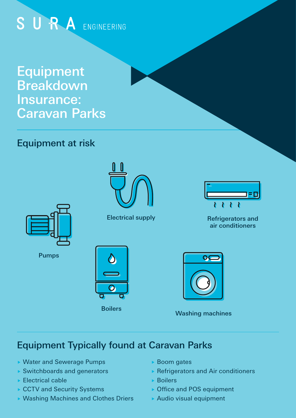# SURA ENGINEERING

Equipment **Breakdown** Insurance: Caravan Parks

## Equipment at risk



Electrical supply



Pumps





Refrigerators and air conditioners

 $\lambda$ 

Washing machines

## Equipment Typically found at Caravan Parks

- Water and Sewerage Pumps
- Switchboards and generators
- ▶ Electrical cable
- ▶ CCTV and Security Systems
- ▶ Washing Machines and Clothes Driers
- ▶ Boom gates
- ▶ Refrigerators and Air conditioners
- Boilers
- ▶ Office and POS equipment
- ▶ Audio visual equipment